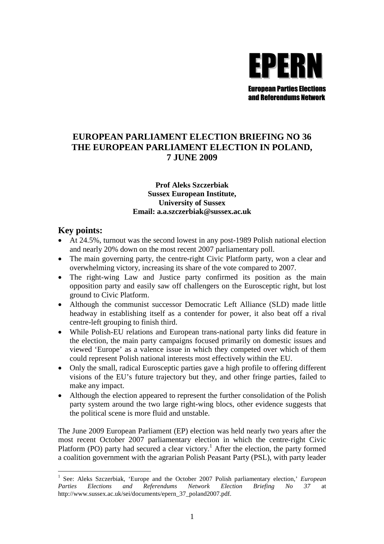

# **EUROPEAN PARLIAMENT ELECTION BRIEFING NO 36 THE EUROPEAN PARLIAMENT ELECTION IN POLAND, 7 JUNE 2009**

### **Prof Aleks Szczerbiak Sussex European Institute, University of Sussex Email: a.a.szczerbiak@sussex.ac.uk**

# **Key points:**

- At 24.5%, turnout was the second lowest in any post-1989 Polish national election and nearly 20% down on the most recent 2007 parliamentary poll.
- The main governing party, the centre-right Civic Platform party, won a clear and overwhelming victory, increasing its share of the vote compared to 2007.
- The right-wing Law and Justice party confirmed its position as the main opposition party and easily saw off challengers on the Eurosceptic right, but lost ground to Civic Platform.
- Although the communist successor Democratic Left Alliance (SLD) made little headway in establishing itself as a contender for power, it also beat off a rival centre-left grouping to finish third.
- While Polish-EU relations and European trans-national party links did feature in the election, the main party campaigns focused primarily on domestic issues and viewed 'Europe' as a valence issue in which they competed over which of them could represent Polish national interests most effectively within the EU.
- Only the small, radical Eurosceptic parties gave a high profile to offering different visions of the EU's future trajectory but they, and other fringe parties, failed to make any impact.
- Although the election appeared to represent the further consolidation of the Polish party system around the two large right-wing blocs, other evidence suggests that the political scene is more fluid and unstable.

The June 2009 European Parliament (EP) election was held nearly two years after the most recent October 2007 parliamentary election in which the centre-right Civic Platform (PO) party had secured a clear victory.<sup>1</sup> After the election, the party formed a coalition government with the agrarian Polish Peasant Party (PSL), with party leader

<sup>&</sup>lt;sup>1</sup> See: Aleks Szczerbiak, 'Europe and the October 2007 Polish parliamentary election,' *European Parties Elections and Referendums Network Election Briefing No 37* at http://www.sussex.ac.uk/sei/documents/epern\_37\_poland2007.pdf.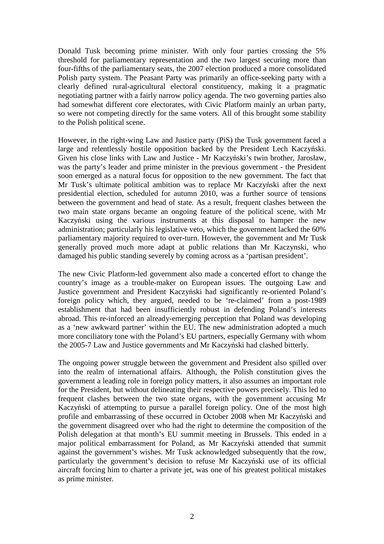Donald Tusk becoming prime minister. With only four parties crossing the 5% threshold for parliamentary representation and the two largest securing more than four-fifths of the parliamentary seats, the 2007 election produced a more consolidated Polish party system. The Peasant Party was primarily an office-seeking party with a clearly defined rural-agricultural electoral constituency, making it a pragmatic negotiating partner with a fairly narrow policy agenda. The two governing parties also had somewhat different core electorates, with Civic Platform mainly an urban party, so were not competing directly for the same voters. All of this brought some stability to the Polish political scene.

However, in the right-wing Law and Justice party (PiS) the Tusk government faced a large and relentlessly hostile opposition backed by the President Lech Kaczyński. Given his close links with Law and Justice - Mr Kaczyński's twin brother, Jarosław, was the party's leader and prime minister in the previous government - the President soon emerged as a natural focus for opposition to the new government. The fact that Mr Tusk's ultimate political ambition was to replace Mr Kaczyński after the next presidential election, scheduled for autumn 2010, was a further source of tensions between the government and head of state*.* As a result, frequent clashes between the two main state organs became an ongoing feature of the political scene, with Mr Kaczyński using the various instruments at this disposal to hamper the new administration; particularly his legislative veto, which the government lacked the 60% parliamentary majority required to over-turn. However, the government and Mr Tusk generally proved much more adapt at public relations than Mr Kaczynski, who damaged his public standing severely by coming across as a 'partisan president'.

The new Civic Platform-led government also made a concerted effort to change the country's image as a trouble-maker on European issues. The outgoing Law and Justice government and President Kaczyński had significantly re-oriented Poland's foreign policy which, they argued, needed to be 're-claimed' from a post-1989 establishment that had been insufficiently robust in defending Poland's interests abroad. This re-inforced an already-emerging perception that Poland was developing as a 'new awkward partner' within the EU. The new administration adopted a much more conciliatory tone with the Poland's EU partners, especially Germany with whom the 2005-7 Law and Justice governments and Mr Kaczyński had clashed bitterly.

The ongoing power struggle between the government and President also spilled over into the realm of international affairs. Although, the Polish constitution gives the government a leading role in foreign policy matters, it also assumes an important role for the President, but without delineating their respective powers precisely. This led to frequent clashes between the two state organs, with the government accusing Mr Kaczyński of attempting to pursue a parallel foreign policy. One of the most high profile and embarrassing of these occurred in October 2008 when Mr Kaczyński and the government disagreed over who had the right to determine the composition of the Polish delegation at that month's EU summit meeting in Brussels. This ended in a major political embarrassment for Poland, as Mr Kaczyński attended that summit against the government's wishes. Mr Tusk acknowledged subsequently that the row, particularly the government's decision to refuse Mr Kaczyński use of its official aircraft forcing him to charter a private jet, was one of his greatest political mistakes as prime minister.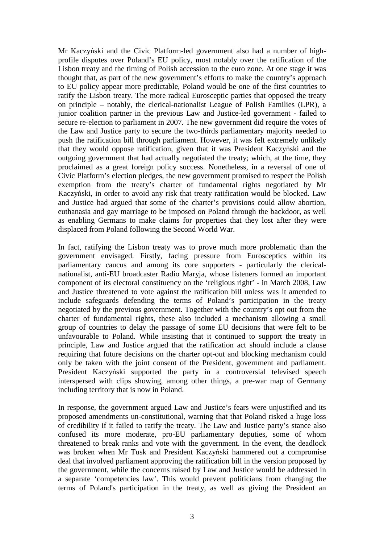Mr Kaczyński and the Civic Platform-led government also had a number of highprofile disputes over Poland's EU policy, most notably over the ratification of the Lisbon treaty and the timing of Polish accession to the euro zone. At one stage it was thought that, as part of the new government's efforts to make the country's approach to EU policy appear more predictable, Poland would be one of the first countries to ratify the Lisbon treaty. The more radical Eurosceptic parties that opposed the treaty on principle – notably, the clerical-nationalist League of Polish Families (LPR), a junior coalition partner in the previous Law and Justice-led government - failed to secure re-election to parliament in 2007. The new government did require the votes of the Law and Justice party to secure the two-thirds parliamentary majority needed to push the ratification bill through parliament. However, it was felt extremely unlikely that they would oppose ratification, given that it was President Kaczyński and the outgoing government that had actually negotiated the treaty; which, at the time, they proclaimed as a great foreign policy success. Nonetheless, in a reversal of one of Civic Platform's election pledges, the new government promised to respect the Polish exemption from the treaty's charter of fundamental rights negotiated by Mr Kaczyński, in order to avoid any risk that treaty ratification would be blocked. Law and Justice had argued that some of the charter's provisions could allow abortion, euthanasia and gay marriage to be imposed on Poland through the backdoor, as well as enabling Germans to make claims for properties that they lost after they were displaced from Poland following the Second World War.

In fact, ratifying the Lisbon treaty was to prove much more problematic than the government envisaged. Firstly, facing pressure from Eurosceptics within its parliamentary caucus and among its core supporters - particularly the clericalnationalist, anti-EU broadcaster Radio Maryja, whose listeners formed an important component of its electoral constituency on the 'religious right' *-* in March 2008, Law and Justice threatened to vote against the ratification bill unless was it amended to include safeguards defending the terms of Poland's participation in the treaty negotiated by the previous government. Together with the country's opt out from the charter of fundamental rights, these also included a mechanism allowing a small group of countries to delay the passage of some EU decisions that were felt to be unfavourable to Poland. While insisting that it continued to support the treaty in principle, Law and Justice argued that the ratification act should include a clause requiring that future decisions on the charter opt-out and blocking mechanism could only be taken with the joint consent of the President, government and parliament. President Kaczyński supported the party in a controversial televised speech interspersed with clips showing, among other things, a pre-war map of Germany including territory that is now in Poland.

In response, the government argued Law and Justice's fears were unjustified and its proposed amendments un-constitutional, warning that that Poland risked a huge loss of credibility if it failed to ratify the treaty. The Law and Justice party's stance also confused its more moderate, pro-EU parliamentary deputies, some of whom threatened to break ranks and vote with the government. In the event, the deadlock was broken when Mr Tusk and President Kaczyński hammered out a compromise deal that involved parliament approving the ratification bill in the version proposed by the government, while the concerns raised by Law and Justice would be addressed in a separate 'competencies law'. This would prevent politicians from changing the terms of Poland's participation in the treaty, as well as giving the President an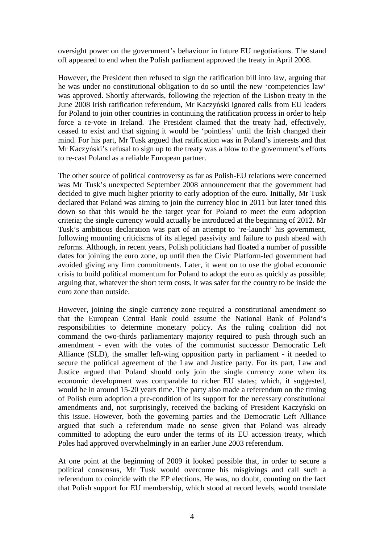oversight power on the government's behaviour in future EU negotiations. The stand off appeared to end when the Polish parliament approved the treaty in April 2008.

However, the President then refused to sign the ratification bill into law, arguing that he was under no constitutional obligation to do so until the new 'competencies law' was approved. Shortly afterwards, following the rejection of the Lisbon treaty in the June 2008 Irish ratification referendum, Mr Kaczyński ignored calls from EU leaders for Poland to join other countries in continuing the ratification process in order to help force a re-vote in Ireland. The President claimed that the treaty had, effectively, ceased to exist and that signing it would be 'pointless' until the Irish changed their mind. For his part, Mr Tusk argued that ratification was in Poland's interests and that Mr Kaczyński's refusal to sign up to the treaty was a blow to the government's efforts to re-cast Poland as a reliable European partner.

The other source of political controversy as far as Polish-EU relations were concerned was Mr Tusk's unexpected September 2008 announcement that the government had decided to give much higher priority to early adoption of the euro. Initially, Mr Tusk declared that Poland was aiming to join the currency bloc in 2011 but later toned this down so that this would be the target year for Poland to meet the euro adoption criteria; the single currency would actually be introduced at the beginning of 2012. Mr Tusk's ambitious declaration was part of an attempt to 're-launch' his government, following mounting criticisms of its alleged passivity and failure to push ahead with reforms. Although, in recent years, Polish politicians had floated a number of possible dates for joining the euro zone, up until then the Civic Platform-led government had avoided giving any firm commitments. Later, it went on to use the global economic crisis to build political momentum for Poland to adopt the euro as quickly as possible; arguing that, whatever the short term costs, it was safer for the country to be inside the euro zone than outside.

However, joining the single currency zone required a constitutional amendment so that the European Central Bank could assume the National Bank of Poland's responsibilities to determine monetary policy. As the ruling coalition did not command the two-thirds parliamentary majority required to push through such an amendment - even with the votes of the communist successor Democratic Left Alliance (SLD), the smaller left-wing opposition party in parliament - it needed to secure the political agreement of the Law and Justice party. For its part, Law and Justice argued that Poland should only join the single currency zone when its economic development was comparable to richer EU states; which, it suggested, would be in around 15-20 years time. The party also made a referendum on the timing of Polish euro adoption a pre-condition of its support for the necessary constitutional amendments and, not surprisingly, received the backing of President Kaczyński on this issue. However, both the governing parties and the Democratic Left Alliance argued that such a referendum made no sense given that Poland was already committed to adopting the euro under the terms of its EU accession treaty, which Poles had approved overwhelmingly in an earlier June 2003 referendum.

At one point at the beginning of 2009 it looked possible that, in order to secure a political consensus, Mr Tusk would overcome his misgivings and call such a referendum to coincide with the EP elections. He was, no doubt, counting on the fact that Polish support for EU membership, which stood at record levels, would translate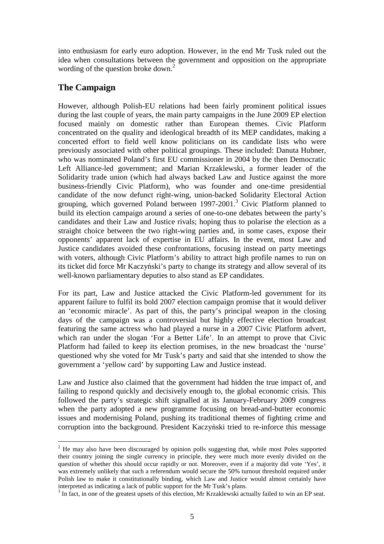into enthusiasm for early euro adoption. However, in the end Mr Tusk ruled out the idea when consultations between the government and opposition on the appropriate wording of the question broke down.<sup>2</sup>

# **The Campaign**

However, although Polish-EU relations had been fairly prominent political issues during the last couple of years, the main party campaigns in the June 2009 EP election focused mainly on domestic rather than European themes. Civic Platform concentrated on the quality and ideological breadth of its MEP candidates, making a concerted effort to field well know politicians on its candidate lists who were previously associated with other political groupings. These included: Danuta Hubner, who was nominated Poland's first EU commissioner in 2004 by the then Democratic Left Alliance-led government; and Marian Krzaklewski, a former leader of the Solidarity trade union (which had always backed Law and Justice against the more business-friendly Civic Platform), who was founder and one-time presidential candidate of the now defunct right-wing, union-backed Solidarity Electoral Action grouping, which governed Poland between  $1997-2001$ <sup>3</sup> Civic Platform planned to build its election campaign around a series of one-to-one debates between the party's candidates and their Law and Justice rivals; hoping thus to polarise the election as a straight choice between the two right-wing parties and, in some cases, expose their opponents' apparent lack of expertise in EU affairs. In the event, most Law and Justice candidates avoided these confrontations, focusing instead on party meetings with voters, although Civic Platform's ability to attract high profile names to run on its ticket did force Mr Kaczyński's party to change its strategy and allow several of its well-known parliamentary deputies to also stand as EP candidates.

For its part, Law and Justice attacked the Civic Platform-led government for its apparent failure to fulfil its bold 2007 election campaign promise that it would deliver an 'economic miracle'. As part of this, the party's principal weapon in the closing days of the campaign was a controversial but highly effective election broadcast featuring the same actress who had played a nurse in a 2007 Civic Platform advert, which ran under the slogan 'For a Better Life'. In an attempt to prove that Civic Platform had failed to keep its election promises, in the new broadcast the 'nurse' questioned why she voted for Mr Tusk's party and said that she intended to show the government a 'yellow card' by supporting Law and Justice instead.

Law and Justice also claimed that the government had hidden the true impact of, and failing to respond quickly and decisively enough to, the global economic crisis. This followed the party's strategic shift signalled at its January-February 2009 congress when the party adopted a new programme focusing on bread-and-butter economic issues and modernising Poland, pushing its traditional themes of fighting crime and corruption into the background. President Kaczyński tried to re-inforce this message

 $2$  He may also have been discouraged by opinion polls suggesting that, while most Poles supported their country joining the single currency in principle, they were much more evenly divided on the question of whether this should occur rapidly or not. Moreover, even if a majority did vote 'Yes', it was extremely unlikely that such a referendum would secure the 50% turnout threshold required under Polish law to make it constitutionally binding, which Law and Justice would almost certainly have interpreted as indicating a lack of public support for the Mr Tusk's plans.

<sup>&</sup>lt;sup>3</sup> In fact, in one of the greatest upsets of this election, Mr Krzaklewski actually failed to win an EP seat.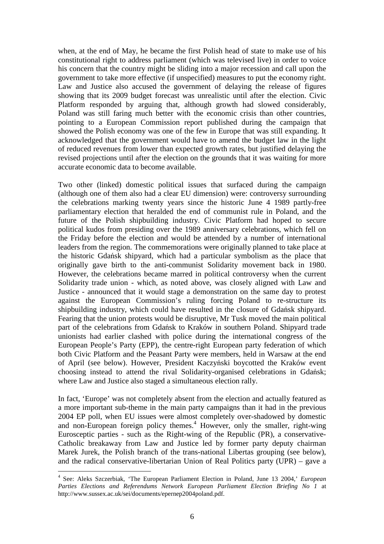when, at the end of May, he became the first Polish head of state to make use of his constitutional right to address parliament (which was televised live) in order to voice his concern that the country might be sliding into a major recession and call upon the government to take more effective (if unspecified) measures to put the economy right. Law and Justice also accused the government of delaying the release of figures showing that its 2009 budget forecast was unrealistic until after the election. Civic Platform responded by arguing that, although growth had slowed considerably, Poland was still faring much better with the economic crisis than other countries, pointing to a European Commission report published during the campaign that showed the Polish economy was one of the few in Europe that was still expanding. It acknowledged that the government would have to amend the budget law in the light of reduced revenues from lower than expected growth rates, but justified delaying the revised projections until after the election on the grounds that it was waiting for more accurate economic data to become available.

Two other (linked) domestic political issues that surfaced during the campaign (although one of them also had a clear EU dimension) were: controversy surrounding the celebrations marking twenty years since the historic June 4 1989 partly-free parliamentary election that heralded the end of communist rule in Poland, and the future of the Polish shipbuilding industry. Civic Platform had hoped to secure political kudos from presiding over the 1989 anniversary celebrations, which fell on the Friday before the election and would be attended by a number of international leaders from the region. The commemorations were originally planned to take place at the historic Gdańsk shipyard, which had a particular symbolism as the place that originally gave birth to the anti-communist Solidarity movement back in 1980. However, the celebrations became marred in political controversy when the current Solidarity trade union - which, as noted above, was closely aligned with Law and Justice - announced that it would stage a demonstration on the same day to protest against the European Commission's ruling forcing Poland to re-structure its shipbuilding industry, which could have resulted in the closure of Gdańsk shipyard. Fearing that the union protests would be disruptive, Mr Tusk moved the main political part of the celebrations from Gdańsk to Kraków in southern Poland. Shipyard trade unionists had earlier clashed with police during the international congress of the European People's Party (EPP), the centre-right European party federation of which both Civic Platform and the Peasant Party were members, held in Warsaw at the end of April (see below). However, President Kaczyński boycotted the Kraków event choosing instead to attend the rival Solidarity-organised celebrations in Gdańsk; where Law and Justice also staged a simultaneous election rally.

In fact, 'Europe' was not completely absent from the election and actually featured as a more important sub-theme in the main party campaigns than it had in the previous 2004 EP poll, when EU issues were almost completely over-shadowed by domestic and non-European foreign policy themes.<sup>4</sup> However, only the smaller, right-wing Eurosceptic parties - such as the Right-wing of the Republic (PR), a conservative-Catholic breakaway from Law and Justice led by former party deputy chairman Marek Jurek, the Polish branch of the trans-national Libertas grouping (see below), and the radical conservative-libertarian Union of Real Politics party (UPR) – gave a

<sup>4</sup> See: Aleks Szczerbiak, 'The European Parliament Election in Poland, June 13 2004,' *European Parties Elections and Referendums Network European Parliament Election Briefing No 1* at http://www.sussex.ac.uk/sei/documents/epernep2004poland.pdf.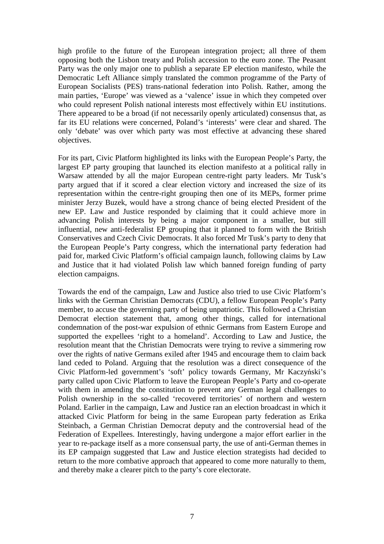high profile to the future of the European integration project; all three of them opposing both the Lisbon treaty and Polish accession to the euro zone. The Peasant Party was the only major one to publish a separate EP election manifesto, while the Democratic Left Alliance simply translated the common programme of the Party of European Socialists (PES) trans-national federation into Polish. Rather, among the main parties, 'Europe' was viewed as a 'valence' issue in which they competed over who could represent Polish national interests most effectively within EU institutions. There appeared to be a broad (if not necessarily openly articulated) consensus that, as far its EU relations were concerned, Poland's 'interests' were clear and shared. The only 'debate' was over which party was most effective at advancing these shared objectives.

For its part, Civic Platform highlighted its links with the European People's Party, the largest EP party grouping that launched its election manifesto at a political rally in Warsaw attended by all the major European centre-right party leaders. Mr Tusk's party argued that if it scored a clear election victory and increased the size of its representation within the centre-right grouping then one of its MEPs, former prime minister Jerzy Buzek, would have a strong chance of being elected President of the new EP. Law and Justice responded by claiming that it could achieve more in advancing Polish interests by being a major component in a smaller, but still influential, new anti-federalist EP grouping that it planned to form with the British Conservatives and Czech Civic Democrats. It also forced Mr Tusk's party to deny that the European People's Party congress, which the international party federation had paid for, marked Civic Platform's official campaign launch, following claims by Law and Justice that it had violated Polish law which banned foreign funding of party election campaigns.

Towards the end of the campaign, Law and Justice also tried to use Civic Platform's links with the German Christian Democrats (CDU), a fellow European People's Party member, to accuse the governing party of being unpatriotic. This followed a Christian Democrat election statement that, among other things, called for international condemnation of the post-war expulsion of ethnic Germans from Eastern Europe and supported the expellees 'right to a homeland'. According to Law and Justice, the resolution meant that the Christian Democrats were trying to revive a simmering row over the rights of native Germans exiled after 1945 and encourage them to claim back land ceded to Poland. Arguing that the resolution was a direct consequence of the Civic Platform-led government's 'soft' policy towards Germany, Mr Kaczyński's party called upon Civic Platform to leave the European People's Party and co-operate with them in amending the constitution to prevent any German legal challenges to Polish ownership in the so-called 'recovered territories' of northern and western Poland. Earlier in the campaign, Law and Justice ran an election broadcast in which it attacked Civic Platform for being in the same European party federation as Erika Steinbach, a German Christian Democrat deputy and the controversial head of the Federation of Expellees. Interestingly, having undergone a major effort earlier in the year to re-package itself as a more consensual party, the use of anti-German themes in its EP campaign suggested that Law and Justice election strategists had decided to return to the more combative approach that appeared to come more naturally to them, and thereby make a clearer pitch to the party's core electorate.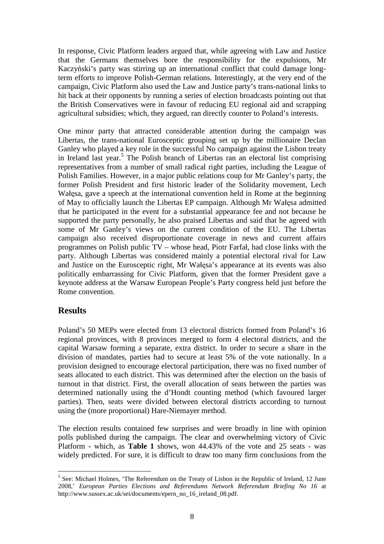In response, Civic Platform leaders argued that, while agreeing with Law and Justice that the Germans themselves bore the responsibility for the expulsions, Mr Kaczyński's party was stirring up an international conflict that could damage longterm efforts to improve Polish-German relations. Interestingly, at the very end of the campaign, Civic Platform also used the Law and Justice party's trans-national links to hit back at their opponents by running a series of election broadcasts pointing out that the British Conservatives were in favour of reducing EU regional aid and scrapping agricultural subsidies; which, they argued, ran directly counter to Poland's interests.

One minor party that attracted considerable attention during the campaign was Libertas, the trans-national Eurosceptic grouping set up by the millionaire Declan Ganley who played a key role in the successful No campaign against the Lisbon treaty in Ireland last year.<sup>5</sup> The Polish branch of Libertas ran an electoral list comprising representatives from a number of small radical right parties, including the League of Polish Families. However, in a major public relations coup for Mr Ganley's party, the former Polish President and first historic leader of the Solidarity movement, Lech Wałęsa, gave a speech at the international convention held in Rome at the beginning of May to officially launch the Libertas EP campaign. Although Mr Wałęsa admitted that he participated in the event for a substantial appearance fee and not because he supported the party personally, he also praised Libertas and said that he agreed with some of Mr Ganley's views on the current condition of the EU. The Libertas campaign also received disproportionate coverage in news and current affairs programmes on Polish public TV – whose head, Piotr Farfał, had close links with the party. Although Libertas was considered mainly a potential electoral rival for Law and Justice on the Eurosceptic right, Mr Wałęsa's appearance at its events was also politically embarrassing for Civic Platform, given that the former President gave a keynote address at the Warsaw European People's Party congress held just before the Rome convention.

### **Results**

Poland's 50 MEPs were elected from 13 electoral districts formed from Poland's 16 regional provinces, with 8 provinces merged to form 4 electoral districts, and the capital Warsaw forming a separate, extra district. In order to secure a share in the division of mandates, parties had to secure at least 5% of the vote nationally. In a provision designed to encourage electoral participation, there was no fixed number of seats allocated to each district. This was determined after the election on the basis of turnout in that district. First, the overall allocation of seats between the parties was determined nationally using the d'Hondt counting method (which favoured larger parties). Then, seats were divided between electoral districts according to turnout using the (more proportional) Hare-Niemayer method.

The election results contained few surprises and were broadly in line with opinion polls published during the campaign. The clear and overwhelming victory of Civic Platform - which, as **Table 1** shows, won 44.43% of the vote and 25 seats - was widely predicted. For sure, it is difficult to draw too many firm conclusions from the

<sup>&</sup>lt;sup>5</sup> See: Michael Holmes, 'The Referendum on the Treaty of Lisbon in the Republic of Ireland, 12 June 2008,' *European Parties Elections and Referendums Network Referendum Briefing No 16* at http://www.sussex.ac.uk/sei/documents/epern\_no\_16\_ireland\_08.pdf.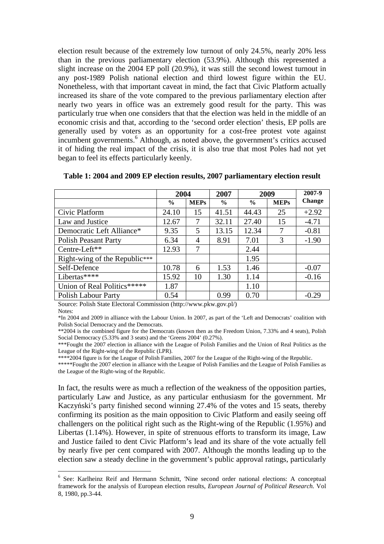election result because of the extremely low turnout of only 24.5%, nearly 20% less than in the previous parliamentary election (53.9%). Although this represented a slight increase on the 2004 EP poll (20.9%), it was still the second lowest turnout in any post-1989 Polish national election and third lowest figure within the EU. Nonetheless, with that important caveat in mind, the fact that Civic Platform actually increased its share of the vote compared to the previous parliamentary election after nearly two years in office was an extremely good result for the party. This was particularly true when one considers that that the election was held in the middle of an economic crisis and that, according to the 'second order election' thesis, EP polls are generally used by voters as an opportunity for a cost-free protest vote against incumbent governments.<sup>6</sup> Although, as noted above, the government's critics accused it of hiding the real impact of the crisis, it is also true that most Poles had not yet began to feel its effects particularly keenly.

|                               | 2004          |                | 2007          | 2009          |             | 2007-9        |
|-------------------------------|---------------|----------------|---------------|---------------|-------------|---------------|
|                               | $\frac{6}{9}$ | <b>MEPs</b>    | $\frac{0}{0}$ | $\frac{6}{9}$ | <b>MEPs</b> | <b>Change</b> |
| Civic Platform                | 24.10         | 15             | 41.51         | 44.43         | 25          | $+2.92$       |
| Law and Justice               | 12.67         |                | 32.11         | 27.40         | 15          | $-4.71$       |
| Democratic Left Alliance*     | 9.35          | 5              | 13.15         | 12.34         | 7           | $-0.81$       |
| <b>Polish Peasant Party</b>   | 6.34          | $\overline{A}$ | 8.91          | 7.01          | 3           | $-1.90$       |
| Centre-Left**                 | 12.93         | 7              |               | 2.44          |             |               |
| Right-wing of the Republic*** |               |                |               | 1.95          |             |               |
| Self-Defence                  | 10.78         | 6              | 1.53          | 1.46          |             | $-0.07$       |
| Libertas****                  | 15.92         | 10             | 1.30          | 1.14          |             | $-0.16$       |
| Union of Real Politics*****   | 1.87          |                |               | 1.10          |             |               |
| Polish Labour Party           | 0.54          |                | 0.99          | 0.70          |             | $-0.29$       |

| Table 1: 2004 and 2009 EP election results, 2007 parliamentary election result |  |  |
|--------------------------------------------------------------------------------|--|--|
|--------------------------------------------------------------------------------|--|--|

Source: Polish State Electoral Commission (http://www.pkw.gov.pl/) Notes:

\*In 2004 and 2009 in alliance with the Labour Union. In 2007, as part of the 'Left and Democrats' coalition with Polish Social Democracy and the Democrats.

\*\*2004 is the combined figure for the Democrats (known then as the Freedom Union, 7.33% and 4 seats), Polish Social Democracy (5.33% and 3 seats) and the 'Greens 2004' (0.27%).

\*\*\*Fought the 2007 election in alliance with the League of Polish Families and the Union of Real Politics as the League of the Right-wing of the Republic (LPR).

\*\*\*\*2004 figure is for the League of Polish Families, 2007 for the League of the Right-wing of the Republic.

\*\*\*\*\*Fought the 2007 election in alliance with the League of Polish Families and the League of Polish Families as the League of the Right-wing of the Republic.

In fact, the results were as much a reflection of the weakness of the opposition parties, particularly Law and Justice, as any particular enthusiasm for the government. Mr Kaczyński's party finished second winning 27.4% of the votes and 15 seats, thereby confirming its position as the main opposition to Civic Platform and easily seeing off challengers on the political right such as the Right-wing of the Republic (1.95%) and Libertas (1.14%). However, in spite of strenuous efforts to transform its image, Law and Justice failed to dent Civic Platform's lead and its share of the vote actually fell by nearly five per cent compared with 2007. Although the months leading up to the election saw a steady decline in the government's public approval ratings, particularly

<sup>&</sup>lt;sup>6</sup> See: Karlheinz Reif and Hermann Schmitt, 'Nine second order national elections: A conceptual framework for the analysis of European election results, *European Journal of Political Research.* Vol 8, 1980, pp.3-44.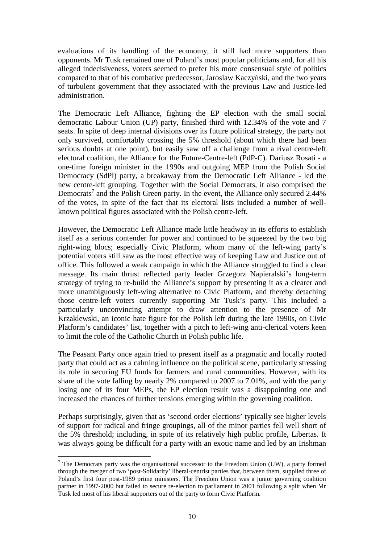evaluations of its handling of the economy, it still had more supporters than opponents. Mr Tusk remained one of Poland's most popular politicians and, for all his alleged indecisiveness, voters seemed to prefer his more consensual style of politics compared to that of his combative predecessor, Jarosław Kaczyński, and the two years of turbulent government that they associated with the previous Law and Justice-led administration.

The Democratic Left Alliance, fighting the EP election with the small social democratic Labour Union (UP) party, finished third with 12.34% of the vote and 7 seats. In spite of deep internal divisions over its future political strategy, the party not only survived, comfortably crossing the 5% threshold (about which there had been serious doubts at one point), but easily saw off a challenge from a rival centre-left electoral coalition, the Alliance for the Future-Centre-left (PdP-C). Dariusz Rosati - a one-time foreign minister in the 1990s and outgoing MEP from the Polish Social Democracy (SdPl) party, a breakaway from the Democratic Left Alliance - led the new centre-left grouping. Together with the Social Democrats, it also comprised the Democrats<sup>7</sup> and the Polish Green party. In the event, the Alliance only secured 2.44% of the votes, in spite of the fact that its electoral lists included a number of wellknown political figures associated with the Polish centre-left.

However, the Democratic Left Alliance made little headway in its efforts to establish itself as a serious contender for power and continued to be squeezed by the two big right-wing blocs; especially Civic Platform, whom many of the left-wing party's potential voters still saw as the most effective way of keeping Law and Justice out of office. This followed a weak campaign in which the Alliance struggled to find a clear message. Its main thrust reflected party leader Grzegorz Napieralski's long-term strategy of trying to re-build the Alliance's support by presenting it as a clearer and more unambiguously left-wing alternative to Civic Platform, and thereby detaching those centre-left voters currently supporting Mr Tusk's party. This included a particularly unconvincing attempt to draw attention to the presence of Mr Krzaklewski, an iconic hate figure for the Polish left during the late 1990s, on Civic Platform's candidates' list, together with a pitch to left-wing anti-clerical voters keen to limit the role of the Catholic Church in Polish public life.

The Peasant Party once again tried to present itself as a pragmatic and locally rooted party that could act as a calming influence on the political scene, particularly stressing its role in securing EU funds for farmers and rural communities. However, with its share of the vote falling by nearly 2% compared to 2007 to 7.01%, and with the party losing one of its four MEPs, the EP election result was a disappointing one and increased the chances of further tensions emerging within the governing coalition.

Perhaps surprisingly, given that as 'second order elections' typically see higher levels of support for radical and fringe groupings, all of the minor parties fell well short of the 5% threshold; including, in spite of its relatively high public profile, Libertas. It was always going be difficult for a party with an exotic name and led by an Irishman

 $<sup>7</sup>$  The Democrats party was the organisational successor to the Freedom Union (UW), a party formed</sup> through the merger of two 'post-Solidarity' liberal-centrist parties that, between them, supplied three of Poland's first four post-1989 prime ministers. The Freedom Union was a junior governing coalition partner in 1997-2000 but failed to secure re-election to parliament in 2001 following a split when Mr Tusk led most of his liberal supporters out of the party to form Civic Platform.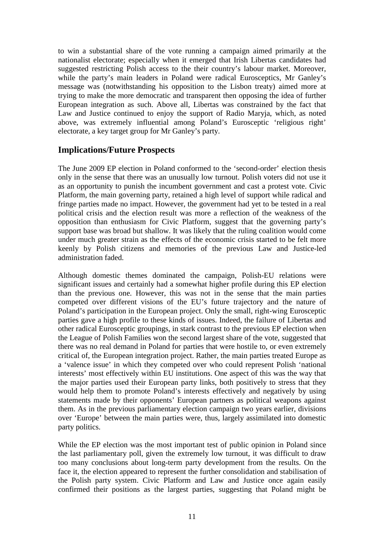to win a substantial share of the vote running a campaign aimed primarily at the nationalist electorate; especially when it emerged that Irish Libertas candidates had suggested restricting Polish access to the their country's labour market. Moreover, while the party's main leaders in Poland were radical Eurosceptics, Mr Ganley's message was (notwithstanding his opposition to the Lisbon treaty) aimed more at trying to make the more democratic and transparent then opposing the idea of further European integration as such. Above all, Libertas was constrained by the fact that Law and Justice continued to enjoy the support of Radio Maryja, which, as noted above, was extremely influential among Poland's Eurosceptic 'religious right' electorate, a key target group for Mr Ganley's party.

# **Implications/Future Prospects**

The June 2009 EP election in Poland conformed to the 'second-order' election thesis only in the sense that there was an unusually low turnout. Polish voters did not use it as an opportunity to punish the incumbent government and cast a protest vote. Civic Platform, the main governing party, retained a high level of support while radical and fringe parties made no impact. However, the government had yet to be tested in a real political crisis and the election result was more a reflection of the weakness of the opposition than enthusiasm for Civic Platform, suggest that the governing party's support base was broad but shallow. It was likely that the ruling coalition would come under much greater strain as the effects of the economic crisis started to be felt more keenly by Polish citizens and memories of the previous Law and Justice-led administration faded.

Although domestic themes dominated the campaign, Polish-EU relations were significant issues and certainly had a somewhat higher profile during this EP election than the previous one. However, this was not in the sense that the main parties competed over different visions of the EU's future trajectory and the nature of Poland's participation in the European project. Only the small, right-wing Eurosceptic parties gave a high profile to these kinds of issues. Indeed, the failure of Libertas and other radical Eurosceptic groupings, in stark contrast to the previous EP election when the League of Polish Families won the second largest share of the vote, suggested that there was no real demand in Poland for parties that were hostile to, or even extremely critical of, the European integration project. Rather, the main parties treated Europe as a 'valence issue' in which they competed over who could represent Polish 'national interests' most effectively within EU institutions. One aspect of this was the way that the major parties used their European party links, both positively to stress that they would help them to promote Poland's interests effectively and negatively by using statements made by their opponents' European partners as political weapons against them. As in the previous parliamentary election campaign two years earlier, divisions over 'Europe' between the main parties were, thus, largely assimilated into domestic party politics.

While the EP election was the most important test of public opinion in Poland since the last parliamentary poll, given the extremely low turnout, it was difficult to draw too many conclusions about long-term party development from the results. On the face it, the election appeared to represent the further consolidation and stabilisation of the Polish party system. Civic Platform and Law and Justice once again easily confirmed their positions as the largest parties, suggesting that Poland might be